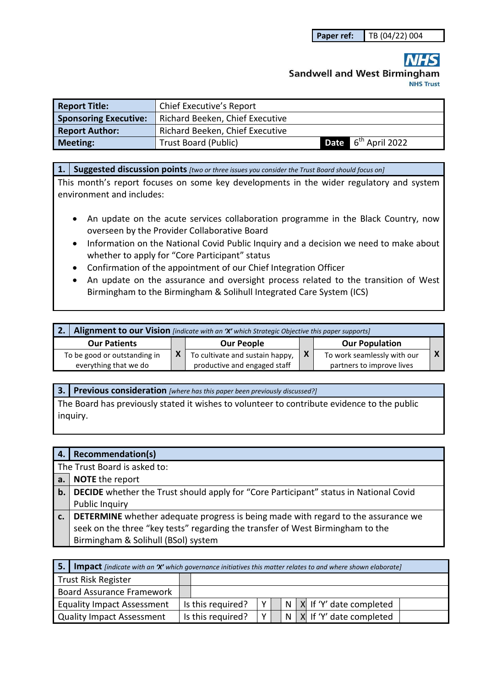# **Sandwell and West Birmingham NHS Trust**

| <b>Report Title:</b>         |                                 |                                 |
|------------------------------|---------------------------------|---------------------------------|
| <b>Sponsoring Executive:</b> | Richard Beeken, Chief Executive |                                 |
| <b>Report Author:</b>        | Richard Beeken, Chief Executive |                                 |
| <b>Meeting:</b>              | <b>Trust Board (Public)</b>     | Date 6 <sup>th</sup> April 2022 |

**1. Suggested discussion points** *[two or three issues you consider the Trust Board should focus on]* 

This month's report focuses on some key developments in the wider regulatory and system environment and includes:

- An update on the acute services collaboration programme in the Black Country, now overseen by the Provider Collaborative Board
- Information on the National Covid Public Inquiry and a decision we need to make about whether to apply for "Core Participant" status
- Confirmation of the appointment of our Chief Integration Officer
- An update on the assurance and oversight process related to the transition of West Birmingham to the Birmingham & Solihull Integrated Care System (ICS)

| Alignment to our Vision [indicate with an 'X' which Strategic Objective this paper supports] |  |                                                                 |   |                                                          |  |  |  |
|----------------------------------------------------------------------------------------------|--|-----------------------------------------------------------------|---|----------------------------------------------------------|--|--|--|
| <b>Our Patients</b>                                                                          |  | <b>Our People</b>                                               |   | <b>Our Population</b>                                    |  |  |  |
| To be good or outstanding in<br>everything that we do                                        |  | To cultivate and sustain happy,<br>productive and engaged staff | X | To work seamlessly with our<br>partners to improve lives |  |  |  |

**3. Previous consideration** *[where has this paper been previously discussed?]*

The Board has previously stated it wishes to volunteer to contribute evidence to the public inquiry.

| 4. | Recommendation(s)                                                                        |  |  |  |  |
|----|------------------------------------------------------------------------------------------|--|--|--|--|
|    | The Trust Board is asked to:                                                             |  |  |  |  |
| a. | <b>NOTE</b> the report                                                                   |  |  |  |  |
| b. | DECIDE whether the Trust should apply for "Core Participant" status in National Covid    |  |  |  |  |
|    | <b>Public Inquiry</b>                                                                    |  |  |  |  |
| c. | <b>DETERMINE</b> whether adequate progress is being made with regard to the assurance we |  |  |  |  |
|    | seek on the three "key tests" regarding the transfer of West Birmingham to the           |  |  |  |  |
|    | Birmingham & Solihull (BSol) system                                                      |  |  |  |  |

| <b>5.</b> Impact [indicate with an 'X' which governance initiatives this matter relates to and where shown elaborate] |  |                   |              |  |  |                               |
|-----------------------------------------------------------------------------------------------------------------------|--|-------------------|--------------|--|--|-------------------------------|
| Trust Risk Register                                                                                                   |  |                   |              |  |  |                               |
| Board Assurance Framework                                                                                             |  |                   |              |  |  |                               |
| <b>Equality Impact Assessment</b>                                                                                     |  | Is this required? | $\mathsf{v}$ |  |  | N   X   If 'Y' date completed |
| Quality Impact Assessment                                                                                             |  | Is this required? | $V_{\perp}$  |  |  | N   X If 'Y' date completed   |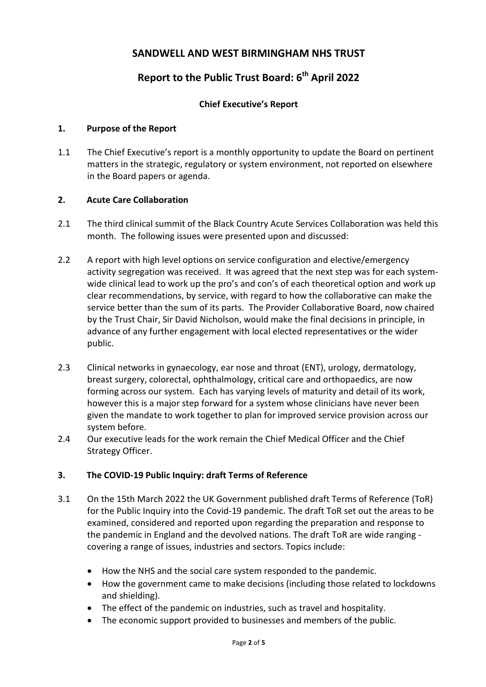### **SANDWELL AND WEST BIRMINGHAM NHS TRUST**

## **Report to the Public Trust Board: 6th April 2022**

#### **Chief Executive's Report**

#### **1. Purpose of the Report**

1.1 The Chief Executive's report is a monthly opportunity to update the Board on pertinent matters in the strategic, regulatory or system environment, not reported on elsewhere in the Board papers or agenda.

#### **2. Acute Care Collaboration**

- 2.1 The third clinical summit of the Black Country Acute Services Collaboration was held this month. The following issues were presented upon and discussed:
- 2.2 A report with high level options on service configuration and elective/emergency activity segregation was received. It was agreed that the next step was for each systemwide clinical lead to work up the pro's and con's of each theoretical option and work up clear recommendations, by service, with regard to how the collaborative can make the service better than the sum of its parts. The Provider Collaborative Board, now chaired by the Trust Chair, Sir David Nicholson, would make the final decisions in principle, in advance of any further engagement with local elected representatives or the wider public.
- 2.3 Clinical networks in gynaecology, ear nose and throat (ENT), urology, dermatology, breast surgery, colorectal, ophthalmology, critical care and orthopaedics, are now forming across our system. Each has varying levels of maturity and detail of its work, however this is a major step forward for a system whose clinicians have never been given the mandate to work together to plan for improved service provision across our system before.
- 2.4 Our executive leads for the work remain the Chief Medical Officer and the Chief Strategy Officer.

#### **3. The COVID-19 Public Inquiry: draft Terms of Reference**

- 3.1 On the 15th March 2022 the UK Government published draft Terms of Reference (ToR) for the Public Inquiry into the Covid-19 pandemic. The draft ToR set out the areas to be examined, considered and reported upon regarding the preparation and response to the pandemic in England and the devolved nations. The draft ToR are wide ranging covering a range of issues, industries and sectors. Topics include:
	- How the NHS and the social care system responded to the pandemic.
	- How the government came to make decisions (including those related to lockdowns and shielding).
	- The effect of the pandemic on industries, such as travel and hospitality.
	- The economic support provided to businesses and members of the public.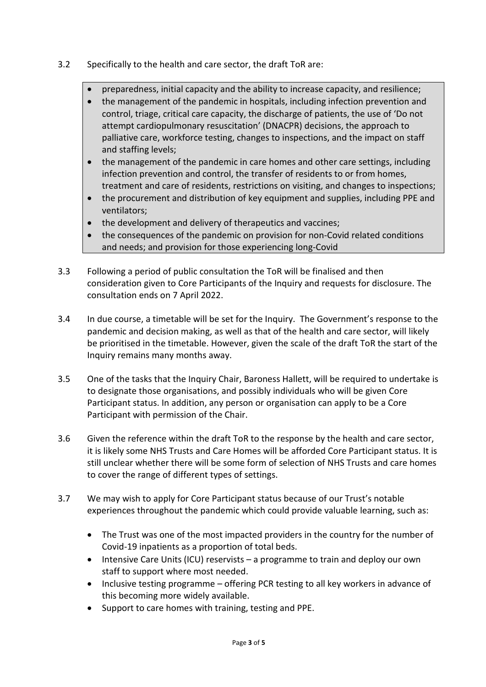- 3.2 Specifically to the health and care sector, the draft ToR are:
	- preparedness, initial capacity and the ability to increase capacity, and resilience;
	- the management of the pandemic in hospitals, including infection prevention and control, triage, critical care capacity, the discharge of patients, the use of 'Do not attempt cardiopulmonary resuscitation' (DNACPR) decisions, the approach to palliative care, workforce testing, changes to inspections, and the impact on staff and staffing levels;
	- the management of the pandemic in care homes and other care settings, including infection prevention and control, the transfer of residents to or from homes, treatment and care of residents, restrictions on visiting, and changes to inspections;
	- the procurement and distribution of key equipment and supplies, including PPE and ventilators;
	- the development and delivery of therapeutics and vaccines;
	- the consequences of the pandemic on provision for non-Covid related conditions and needs; and provision for those experiencing long-Covid
- 3.3 Following a period of public consultation the ToR will be finalised and then consideration given to Core Participants of the Inquiry and requests for disclosure. The consultation ends on 7 April 2022.
- 3.4 In due course, a timetable will be set for the Inquiry. The Government's response to the pandemic and decision making, as well as that of the health and care sector, will likely be prioritised in the timetable. However, given the scale of the draft ToR the start of the Inquiry remains many months away.
- 3.5 One of the tasks that the Inquiry Chair, Baroness Hallett, will be required to undertake is to designate those organisations, and possibly individuals who will be given Core Participant status. In addition, any person or organisation can apply to be a Core Participant with permission of the Chair.
- 3.6 Given the reference within the draft ToR to the response by the health and care sector, it is likely some NHS Trusts and Care Homes will be afforded Core Participant status. It is still unclear whether there will be some form of selection of NHS Trusts and care homes to cover the range of different types of settings.
- 3.7 We may wish to apply for Core Participant status because of our Trust's notable experiences throughout the pandemic which could provide valuable learning, such as:
	- The Trust was one of the most impacted providers in the country for the number of Covid-19 inpatients as a proportion of total beds.
	- Intensive Care Units (ICU) reservists a programme to train and deploy our own staff to support where most needed.
	- Inclusive testing programme offering PCR testing to all key workers in advance of this becoming more widely available.
	- Support to care homes with training, testing and PPE.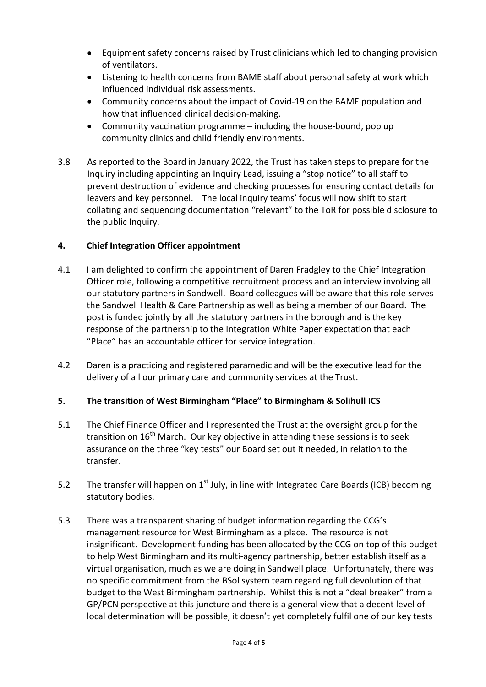- Equipment safety concerns raised by Trust clinicians which led to changing provision of ventilators.
- Listening to health concerns from BAME staff about personal safety at work which influenced individual risk assessments.
- Community concerns about the impact of Covid-19 on the BAME population and how that influenced clinical decision-making.
- Community vaccination programme including the house-bound, pop up community clinics and child friendly environments.
- 3.8 As reported to the Board in January 2022, the Trust has taken steps to prepare for the Inquiry including appointing an Inquiry Lead, issuing a "stop notice" to all staff to prevent destruction of evidence and checking processes for ensuring contact details for leavers and key personnel. The local inquiry teams' focus will now shift to start collating and sequencing documentation "relevant" to the ToR for possible disclosure to the public Inquiry.

#### **4. Chief Integration Officer appointment**

- 4.1 I am delighted to confirm the appointment of Daren Fradgley to the Chief Integration Officer role, following a competitive recruitment process and an interview involving all our statutory partners in Sandwell. Board colleagues will be aware that this role serves the Sandwell Health & Care Partnership as well as being a member of our Board. The post is funded jointly by all the statutory partners in the borough and is the key response of the partnership to the Integration White Paper expectation that each "Place" has an accountable officer for service integration.
- 4.2 Daren is a practicing and registered paramedic and will be the executive lead for the delivery of all our primary care and community services at the Trust.

#### **5. The transition of West Birmingham "Place" to Birmingham & Solihull ICS**

- 5.1 The Chief Finance Officer and I represented the Trust at the oversight group for the transition on  $16<sup>th</sup>$  March. Our key objective in attending these sessions is to seek assurance on the three "key tests" our Board set out it needed, in relation to the transfer.
- 5.2 The transfer will happen on  $1<sup>st</sup>$  July, in line with Integrated Care Boards (ICB) becoming statutory bodies.
- 5.3 There was a transparent sharing of budget information regarding the CCG's management resource for West Birmingham as a place. The resource is not insignificant. Development funding has been allocated by the CCG on top of this budget to help West Birmingham and its multi-agency partnership, better establish itself as a virtual organisation, much as we are doing in Sandwell place. Unfortunately, there was no specific commitment from the BSol system team regarding full devolution of that budget to the West Birmingham partnership. Whilst this is not a "deal breaker" from a GP/PCN perspective at this juncture and there is a general view that a decent level of local determination will be possible, it doesn't yet completely fulfil one of our key tests